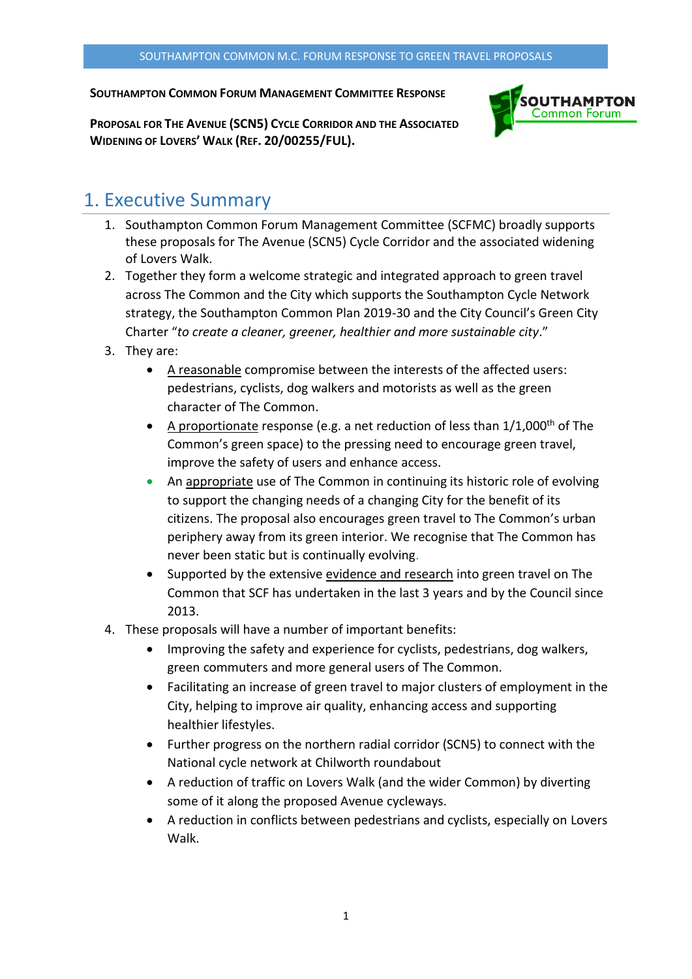#### **SOUTHAMPTON COMMON FORUM MANAGEMENT COMMITTEE RESPONSE**



**PROPOSAL FOR THE AVENUE (SCN5) CYCLE CORRIDOR AND THE ASSOCIATED WIDENING OF LOVERS' WALK (REF. 20/00255/FUL).**

#### 1. Executive Summary

- 1. Southampton Common Forum Management Committee (SCFMC) broadly supports these proposals for The Avenue (SCN5) Cycle Corridor and the associated widening of Lovers Walk.
- 2. Together they form a welcome strategic and integrated approach to green travel across The Common and the City which supports the Southampton Cycle Network strategy, the Southampton Common Plan 2019-30 and the City Council's Green City Charter "*to create a cleaner, greener, healthier and more sustainable city*."
- 3. They are:
	- A reasonable compromise between the interests of the affected users: pedestrians, cyclists, dog walkers and motorists as well as the green character of The Common.
	- A proportionate response (e.g. a net reduction of less than  $1/1,000$ <sup>th</sup> of The Common's green space) to the pressing need to encourage green travel, improve the safety of users and enhance access.
	- An appropriate use of The Common in continuing its historic role of evolving to support the changing needs of a changing City for the benefit of its citizens. The proposal also encourages green travel to The Common's urban periphery away from its green interior. We recognise that The Common has never been static but is continually evolving.
	- Supported by the extensive evidence and research into green travel on The Common that SCF has undertaken in the last 3 years and by the Council since 2013.
- 4. These proposals will have a number of important benefits:
	- Improving the safety and experience for cyclists, pedestrians, dog walkers, green commuters and more general users of The Common.
	- Facilitating an increase of green travel to major clusters of employment in the City, helping to improve air quality, enhancing access and supporting healthier lifestyles.
	- Further progress on the northern radial corridor (SCN5) to connect with the National cycle network at Chilworth roundabout
	- A reduction of traffic on Lovers Walk (and the wider Common) by diverting some of it along the proposed Avenue cycleways.
	- A reduction in conflicts between pedestrians and cyclists, especially on Lovers Walk.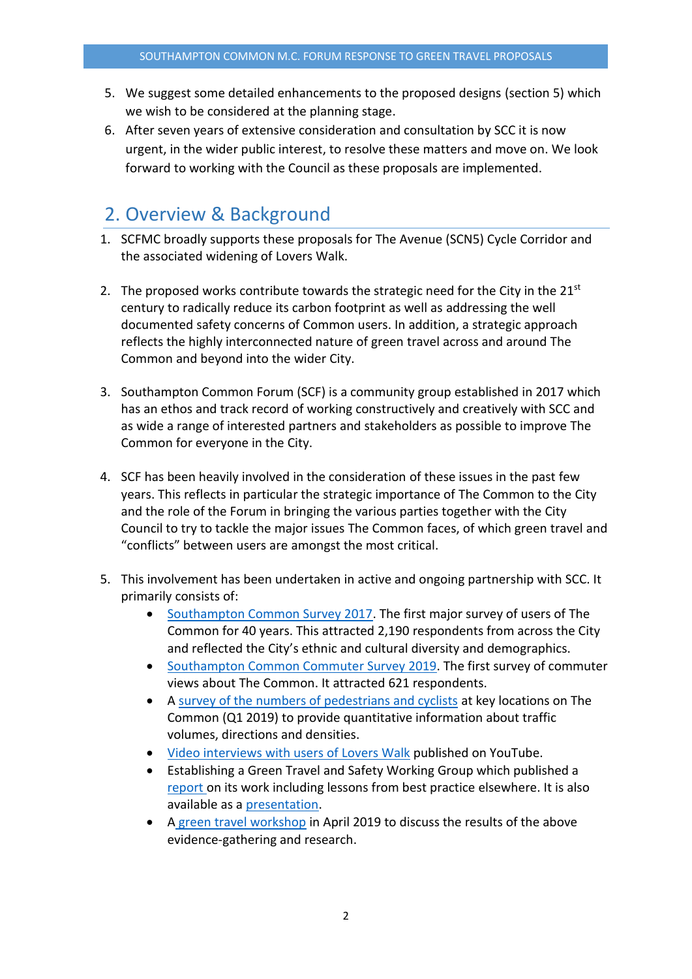- 5. We suggest some detailed enhancements to the proposed designs (section 5) which we wish to be considered at the planning stage.
- 6. After seven years of extensive consideration and consultation by SCC it is now urgent, in the wider public interest, to resolve these matters and move on. We look forward to working with the Council as these proposals are implemented.

## 2. Overview & Background

- 1. SCFMC broadly supports these proposals for The Avenue (SCN5) Cycle Corridor and the associated widening of Lovers Walk.
- 2. The proposed works contribute towards the strategic need for the City in the  $21^{st}$ century to radically reduce its carbon footprint as well as addressing the well documented safety concerns of Common users. In addition, a strategic approach reflects the highly interconnected nature of green travel across and around The Common and beyond into the wider City.
- 3. Southampton Common Forum (SCF) is a community group established in 2017 which has an ethos and track record of working constructively and creatively with SCC and as wide a range of interested partners and stakeholders as possible to improve The Common for everyone in the City.
- 4. SCF has been heavily involved in the consideration of these issues in the past few years. This reflects in particular the strategic importance of The Common to the City and the role of the Forum in bringing the various parties together with the City Council to try to tackle the major issues The Common faces, of which green travel and "conflicts" between users are amongst the most critical.
- 5. This involvement has been undertaken in active and ongoing partnership with SCC. It primarily consists of:
	- [Southampton Common Survey 2017.](http://www.southamptoncommonforum.org/surveyresults.html) The first major survey of users of The Common for 40 years. This attracted 2,190 respondents from across the City and reflected the City's ethnic and cultural diversity and demographics.
	- [Southampton Common Commuter Survey 2019.](http://www.southamptoncommonforum.org/scfdownloaddocs/greentravel/green-travel-workshop-presentation-aaw-www.pdf) The first survey of commuter views about The Common. It attracted 621 respondents.
	- A [survey of the numbers of pedestrians and cyclists](http://www.southamptoncommonforum.org/scfdownloaddocs/greentravel/green-travel-workshop-presentation-aaw-www.pdf) at key locations on The Common (Q1 2019) to provide quantitative information about traffic volumes, directions and densities.
	- [Video interviews with users of Lovers](https://www.youtube.com/watch?v=k9xcpli-iCI&feature=youtu.be) Walk published on YouTube.
	- Establishing a Green Travel and Safety Working Group which published a [report o](http://www.southamptoncommonforum.org/scfdownloaddocs/greentravel/green_travel_and_safety_working_group_report_03_2019_for_www.pdf)n its work including lessons from best practice elsewhere. It is also available as a [presentation.](http://www.southamptoncommonforum.org/scfdownloaddocs/greentravel/green-travel-workshop-presentation-jm-www.pdf)
	- A [green travel workshop](http://www.southamptoncommonforum.org/scfdownloaddocs/greentravel/green-travel-workshop-report-final-www.pdf) in April 2019 to discuss the results of the above evidence-gathering and research.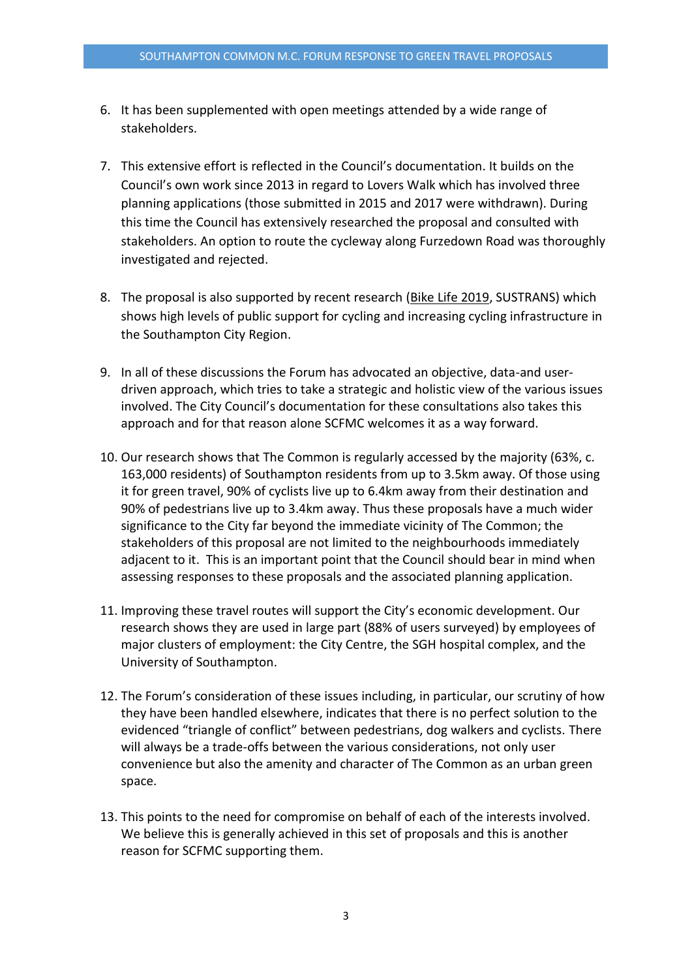- 6. It has been supplemented with open meetings attended by a wide range of stakeholders.
- 7. This extensive effort is reflected in the Council's documentation. It builds on the Council's own work since 2013 in regard to Lovers Walk which has involved three planning applications (those submitted in 2015 and 2017 were withdrawn). During this time the Council has extensively researched the proposal and consulted with stakeholders. An option to route the cycleway along Furzedown Road was thoroughly investigated and rejected.
- 8. The proposal is also supported by recent research [\(Bike Life 2019,](https://www.sustrans.org.uk/media/5953/bikelife19_southamptoncr_web.pdf) SUSTRANS) which shows high levels of public support for cycling and increasing cycling infrastructure in the Southampton City Region.
- 9. In all of these discussions the Forum has advocated an objective, data-and userdriven approach, which tries to take a strategic and holistic view of the various issues involved. The City Council's documentation for these consultations also takes this approach and for that reason alone SCFMC welcomes it as a way forward.
- 10. Our research shows that The Common is regularly accessed by the majority (63%, c. 163,000 residents) of Southampton residents from up to 3.5km away. Of those using it for green travel, 90% of cyclists live up to 6.4km away from their destination and 90% of pedestrians live up to 3.4km away. Thus these proposals have a much wider significance to the City far beyond the immediate vicinity of The Common; the stakeholders of this proposal are not limited to the neighbourhoods immediately adjacent to it. This is an important point that the Council should bear in mind when assessing responses to these proposals and the associated planning application.
- 11. Improving these travel routes will support the City's economic development. Our research shows they are used in large part (88% of users surveyed) by employees of major clusters of employment: the City Centre, the SGH hospital complex, and the University of Southampton.
- 12. The Forum's consideration of these issues including, in particular, our scrutiny of how they have been handled elsewhere, indicates that there is no perfect solution to the evidenced "triangle of conflict" between pedestrians, dog walkers and cyclists. There will always be a trade-offs between the various considerations, not only user convenience but also the amenity and character of The Common as an urban green space.
- 13. This points to the need for compromise on behalf of each of the interests involved. We believe this is generally achieved in this set of proposals and this is another reason for SCFMC supporting them.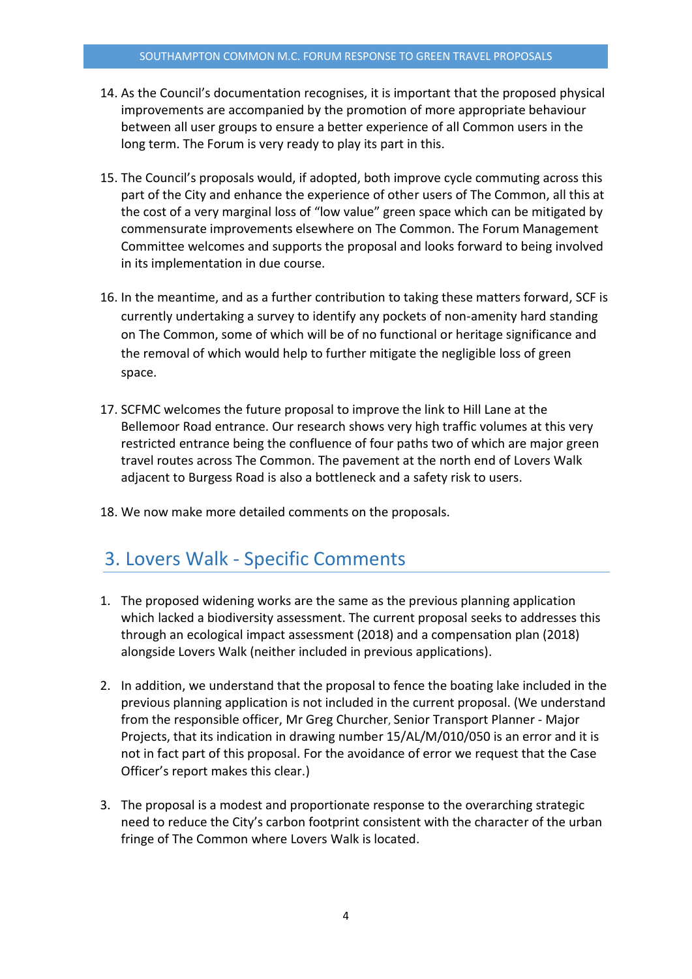- 14. As the Council's documentation recognises, it is important that the proposed physical improvements are accompanied by the promotion of more appropriate behaviour between all user groups to ensure a better experience of all Common users in the long term. The Forum is very ready to play its part in this.
- 15. The Council's proposals would, if adopted, both improve cycle commuting across this part of the City and enhance the experience of other users of The Common, all this at the cost of a very marginal loss of "low value" green space which can be mitigated by commensurate improvements elsewhere on The Common. The Forum Management Committee welcomes and supports the proposal and looks forward to being involved in its implementation in due course.
- 16. In the meantime, and as a further contribution to taking these matters forward, SCF is currently undertaking a survey to identify any pockets of non-amenity hard standing on The Common, some of which will be of no functional or heritage significance and the removal of which would help to further mitigate the negligible loss of green space.
- 17. SCFMC welcomes the future proposal to improve the link to Hill Lane at the Bellemoor Road entrance. Our research shows very high traffic volumes at this very restricted entrance being the confluence of four paths two of which are major green travel routes across The Common. The pavement at the north end of Lovers Walk adjacent to Burgess Road is also a bottleneck and a safety risk to users.
- 18. We now make more detailed comments on the proposals.

#### 3. Lovers Walk - Specific Comments

- 1. The proposed widening works are the same as the previous planning application which lacked a biodiversity assessment. The current proposal seeks to addresses this through an ecological impact assessment (2018) and a compensation plan (2018) alongside Lovers Walk (neither included in previous applications).
- 2. In addition, we understand that the proposal to fence the boating lake included in the previous planning application is not included in the current proposal. (We understand from the responsible officer, Mr Greg Churcher, Senior Transport Planner - Major Projects, that its indication in drawing number 15/AL/M/010/050 is an error and it is not in fact part of this proposal. For the avoidance of error we request that the Case Officer's report makes this clear.)
- 3. The proposal is a modest and proportionate response to the overarching strategic need to reduce the City's carbon footprint consistent with the character of the urban fringe of The Common where Lovers Walk is located.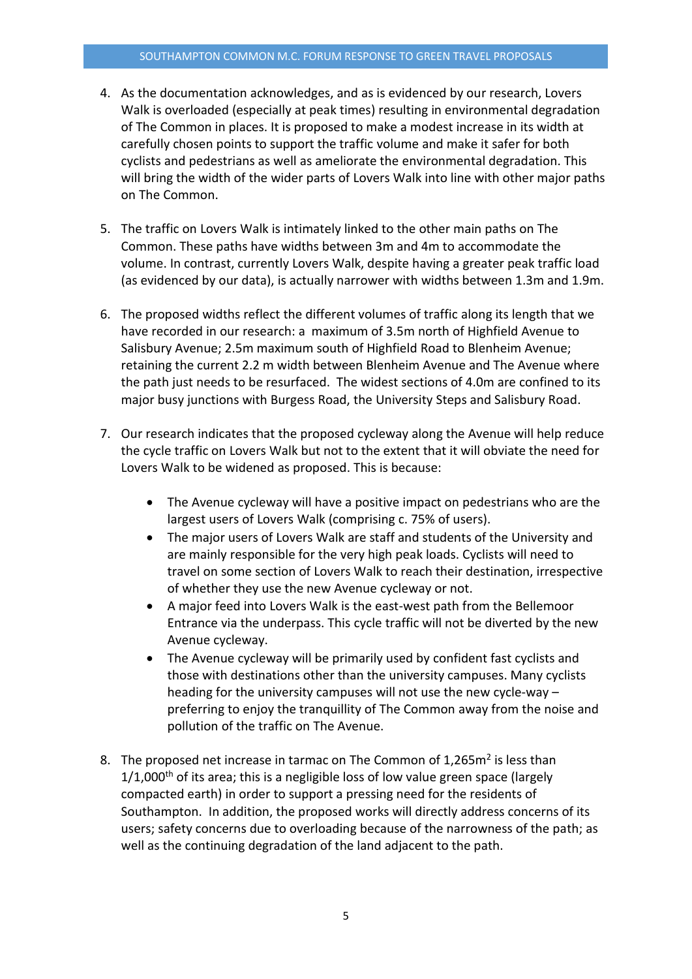- 4. As the documentation acknowledges, and as is evidenced by our research, Lovers Walk is overloaded (especially at peak times) resulting in environmental degradation of The Common in places. It is proposed to make a modest increase in its width at carefully chosen points to support the traffic volume and make it safer for both cyclists and pedestrians as well as ameliorate the environmental degradation. This will bring the width of the wider parts of Lovers Walk into line with other major paths on The Common.
- 5. The traffic on Lovers Walk is intimately linked to the other main paths on The Common. These paths have widths between 3m and 4m to accommodate the volume. In contrast, currently Lovers Walk, despite having a greater peak traffic load (as evidenced by our data), is actually narrower with widths between 1.3m and 1.9m.
- 6. The proposed widths reflect the different volumes of traffic along its length that we have recorded in our research: a maximum of 3.5m north of Highfield Avenue to Salisbury Avenue; 2.5m maximum south of Highfield Road to Blenheim Avenue; retaining the current 2.2 m width between Blenheim Avenue and The Avenue where the path just needs to be resurfaced. The widest sections of 4.0m are confined to its major busy junctions with Burgess Road, the University Steps and Salisbury Road.
- 7. Our research indicates that the proposed cycleway along the Avenue will help reduce the cycle traffic on Lovers Walk but not to the extent that it will obviate the need for Lovers Walk to be widened as proposed. This is because:
	- The Avenue cycleway will have a positive impact on pedestrians who are the largest users of Lovers Walk (comprising c. 75% of users).
	- The major users of Lovers Walk are staff and students of the University and are mainly responsible for the very high peak loads. Cyclists will need to travel on some section of Lovers Walk to reach their destination, irrespective of whether they use the new Avenue cycleway or not.
	- A major feed into Lovers Walk is the east-west path from the Bellemoor Entrance via the underpass. This cycle traffic will not be diverted by the new Avenue cycleway.
	- The Avenue cycleway will be primarily used by confident fast cyclists and those with destinations other than the university campuses. Many cyclists heading for the university campuses will not use the new cycle-way – preferring to enjoy the tranquillity of The Common away from the noise and pollution of the traffic on The Avenue.
- 8. The proposed net increase in tarmac on The Common of 1,265m<sup>2</sup> is less than  $1/1,000$ <sup>th</sup> of its area; this is a negligible loss of low value green space (largely compacted earth) in order to support a pressing need for the residents of Southampton. In addition, the proposed works will directly address concerns of its users; safety concerns due to overloading because of the narrowness of the path; as well as the continuing degradation of the land adjacent to the path.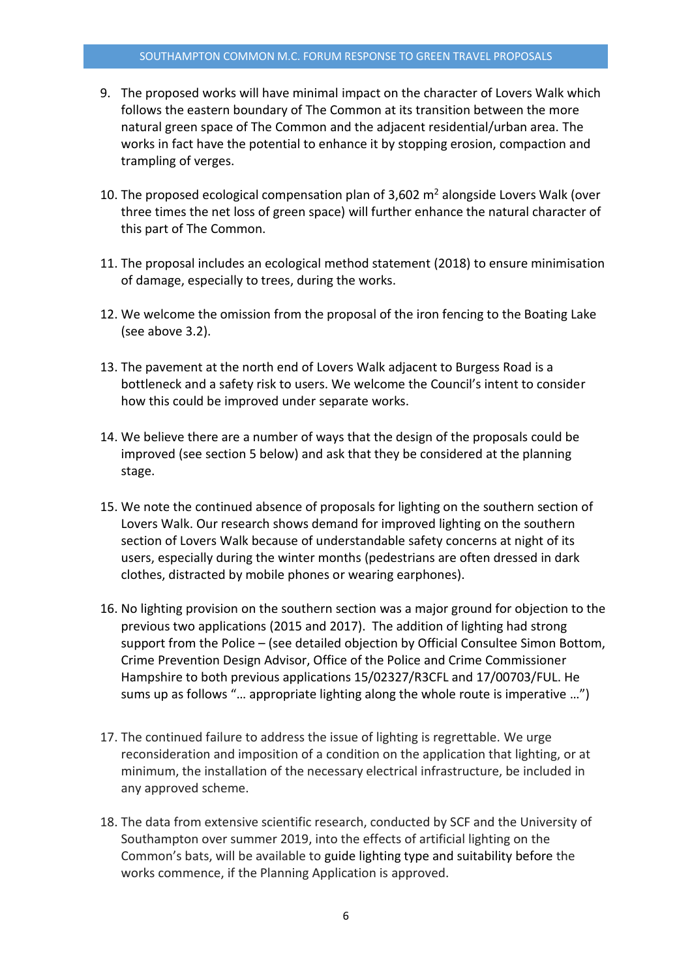- 9. The proposed works will have minimal impact on the character of Lovers Walk which follows the eastern boundary of The Common at its transition between the more natural green space of The Common and the adjacent residential/urban area. The works in fact have the potential to enhance it by stopping erosion, compaction and trampling of verges.
- 10. The proposed ecological compensation plan of  $3,602$  m<sup>2</sup> alongside Lovers Walk (over three times the net loss of green space) will further enhance the natural character of this part of The Common.
- 11. The proposal includes an ecological method statement (2018) to ensure minimisation of damage, especially to trees, during the works.
- 12. We welcome the omission from the proposal of the iron fencing to the Boating Lake (see above 3.2).
- 13. The pavement at the north end of Lovers Walk adjacent to Burgess Road is a bottleneck and a safety risk to users. We welcome the Council's intent to consider how this could be improved under separate works.
- 14. We believe there are a number of ways that the design of the proposals could be improved (see section 5 below) and ask that they be considered at the planning stage.
- 15. We note the continued absence of proposals for lighting on the southern section of Lovers Walk. Our research shows demand for improved lighting on the southern section of Lovers Walk because of understandable safety concerns at night of its users, especially during the winter months (pedestrians are often dressed in dark clothes, distracted by mobile phones or wearing earphones).
- 16. No lighting provision on the southern section was a major ground for objection to the previous two applications (2015 and 2017). The addition of lighting had strong support from the Police – (see detailed objection by Official Consultee Simon Bottom, Crime Prevention Design Advisor, Office of the Police and Crime Commissioner Hampshire to both previous applications 15/02327/R3CFL and 17/00703/FUL. He sums up as follows "… appropriate lighting along the whole route is imperative …")
- 17. The continued failure to address the issue of lighting is regrettable. We urge reconsideration and imposition of a condition on the application that lighting, or at minimum, the installation of the necessary electrical infrastructure, be included in any approved scheme.
- 18. The data from extensive scientific research, conducted by SCF and the University of Southampton over summer 2019, into the effects of artificial lighting on the Common's bats, will be available to guide lighting type and suitability before the works commence, if the Planning Application is approved.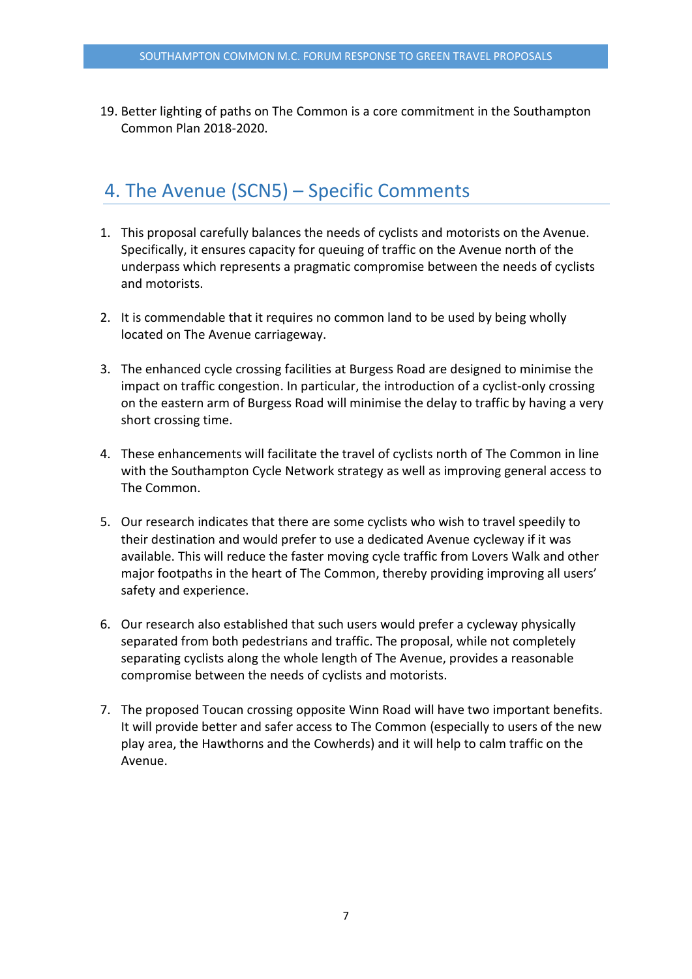19. Better lighting of paths on The Common is a core commitment in the Southampton Common Plan 2018-2020.

### 4. The Avenue (SCN5) – Specific Comments

- 1. This proposal carefully balances the needs of cyclists and motorists on the Avenue. Specifically, it ensures capacity for queuing of traffic on the Avenue north of the underpass which represents a pragmatic compromise between the needs of cyclists and motorists.
- 2. It is commendable that it requires no common land to be used by being wholly located on The Avenue carriageway.
- 3. The enhanced cycle crossing facilities at Burgess Road are designed to minimise the impact on traffic congestion. In particular, the introduction of a cyclist-only crossing on the eastern arm of Burgess Road will minimise the delay to traffic by having a very short crossing time.
- 4. These enhancements will facilitate the travel of cyclists north of The Common in line with the Southampton Cycle Network strategy as well as improving general access to The Common.
- 5. Our research indicates that there are some cyclists who wish to travel speedily to their destination and would prefer to use a dedicated Avenue cycleway if it was available. This will reduce the faster moving cycle traffic from Lovers Walk and other major footpaths in the heart of The Common, thereby providing improving all users' safety and experience.
- 6. Our research also established that such users would prefer a cycleway physically separated from both pedestrians and traffic. The proposal, while not completely separating cyclists along the whole length of The Avenue, provides a reasonable compromise between the needs of cyclists and motorists.
- 7. The proposed Toucan crossing opposite Winn Road will have two important benefits. It will provide better and safer access to The Common (especially to users of the new play area, the Hawthorns and the Cowherds) and it will help to calm traffic on the Avenue.